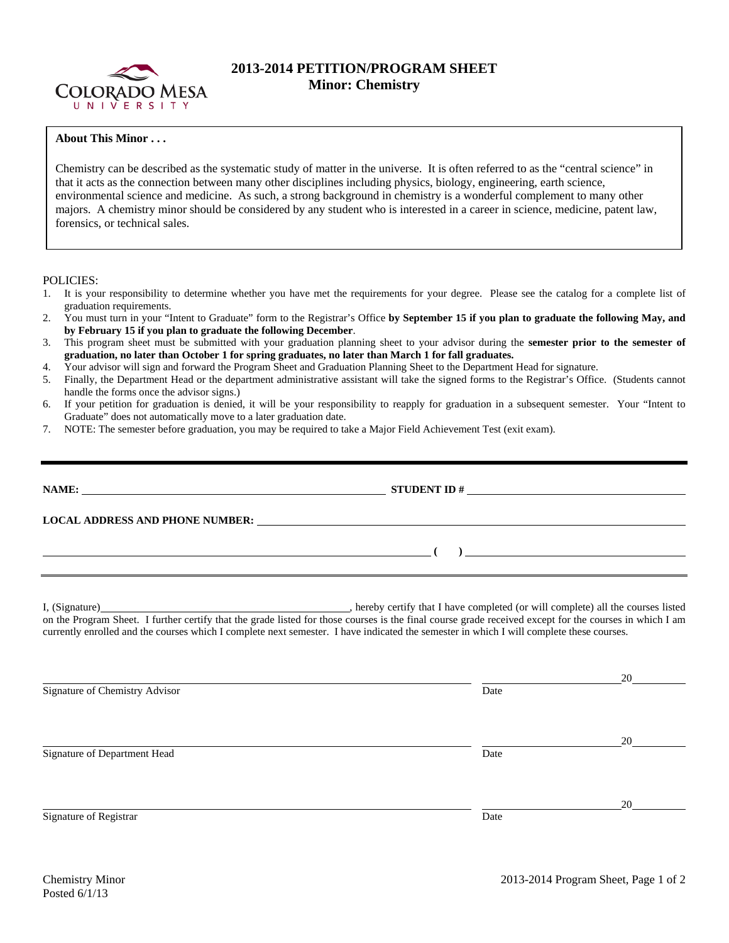

## **2013-2014 PETITION/PROGRAM SHEET Minor: Chemistry**

## **About This Minor . . .**

Chemistry can be described as the systematic study of matter in the universe. It is often referred to as the "central science" in that it acts as the connection between many other disciplines including physics, biology, engineering, earth science, environmental science and medicine. As such, a strong background in chemistry is a wonderful complement to many other majors. A chemistry minor should be considered by any student who is interested in a career in science, medicine, patent law, forensics, or technical sales.

POLICIES:

- 1. It is your responsibility to determine whether you have met the requirements for your degree. Please see the catalog for a complete list of graduation requirements.
- 2. You must turn in your "Intent to Graduate" form to the Registrar's Office **by September 15 if you plan to graduate the following May, and by February 15 if you plan to graduate the following December**.
- 3. This program sheet must be submitted with your graduation planning sheet to your advisor during the **semester prior to the semester of graduation, no later than October 1 for spring graduates, no later than March 1 for fall graduates.**
- 4. Your advisor will sign and forward the Program Sheet and Graduation Planning Sheet to the Department Head for signature.
- 5. Finally, the Department Head or the department administrative assistant will take the signed forms to the Registrar's Office. (Students cannot handle the forms once the advisor signs.)
- 6. If your petition for graduation is denied, it will be your responsibility to reapply for graduation in a subsequent semester. Your "Intent to Graduate" does not automatically move to a later graduation date.
- 7. NOTE: The semester before graduation, you may be required to take a Major Field Achievement Test (exit exam).

| NAME:<br><u> 1989 - Johann Stein, mars an deutscher Stein († 1989)</u>                                                                                                                                                        |  |
|-------------------------------------------------------------------------------------------------------------------------------------------------------------------------------------------------------------------------------|--|
| LOCAL ADDRESS AND PHONE NUMBER: University of the contract of the contract of the contract of the contract of the contract of the contract of the contract of the contract of the contract of the contract of the contract of |  |
|                                                                                                                                                                                                                               |  |
|                                                                                                                                                                                                                               |  |

I, (Signature) , hereby certify that I have completed (or will complete) all the courses listed on the Program Sheet. I further certify that the grade listed for those courses is the final course grade received except for the courses in which I am currently enrolled and the courses which I complete next semester. I have indicated the semester in which I will complete these courses.

|                                |      | 20 |
|--------------------------------|------|----|
| Signature of Chemistry Advisor | Date |    |
|                                |      | 20 |
| Signature of Department Head   | Date |    |
|                                |      | 20 |
| Signature of Registrar         | Date |    |